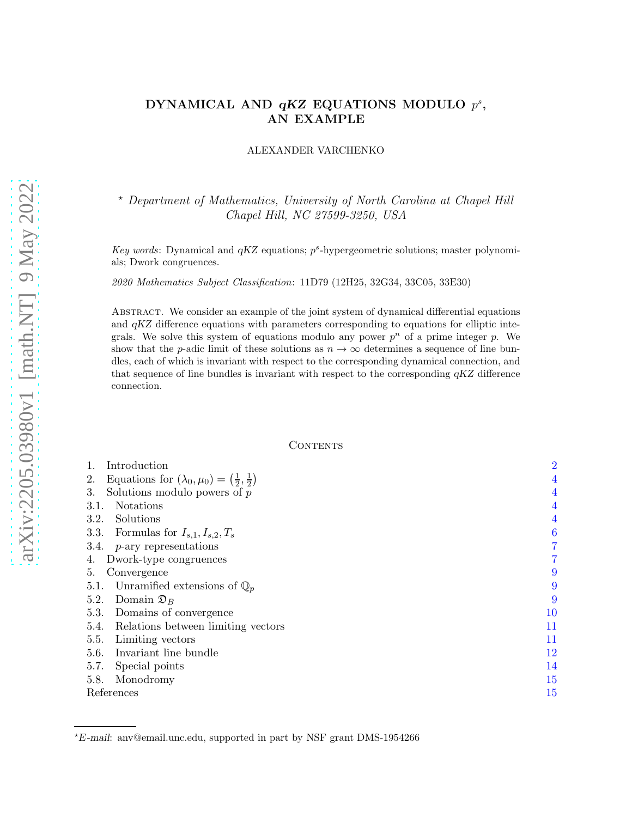# DYNAMICAL AND  $qKZ$  EQUATIONS MODULO  $p^s$ , AN EXAMPLE

ALEXANDER VARCHENKO

<sup>⋆</sup> Department of Mathematics, University of North Carolina at Chapel Hill Chapel Hill, NC 27599-3250, USA

Key words: Dynamical and  $qKZ$  equations;  $p^s$ -hypergeometric solutions; master polynomials; Dwork congruences.

2020 Mathematics Subject Classification: 11D79 (12H25, 32G34, 33C05, 33E30)

Abstract. We consider an example of the joint system of dynamical differential equations and qKZ difference equations with parameters corresponding to equations for elliptic integrals. We solve this system of equations modulo any power  $p^n$  of a prime integer p. We show that the p-adic limit of these solutions as  $n \to \infty$  determines a sequence of line bundles, each of which is invariant with respect to the corresponding dynamical connection, and that sequence of line bundles is invariant with respect to the corresponding  $qKZ$  difference connection.

## **CONTENTS**

| Introduction                                                          | $\overline{2}$   |
|-----------------------------------------------------------------------|------------------|
| Equations for $(\lambda_0, \mu_0) = (\frac{1}{2}, \frac{1}{2})$<br>2. | $\overline{4}$   |
| Solutions modulo powers of $p$<br>3.                                  | $\overline{4}$   |
| <b>Notations</b><br>3.1.                                              | $\overline{4}$   |
| Solutions<br>3.2.                                                     | $\overline{4}$   |
| Formulas for $I_{s,1}, I_{s,2}, T_s$<br>3.3.                          | $\boldsymbol{6}$ |
| 3.4.<br>$p$ -ary representations                                      | 7                |
| Dwork-type congruences<br>4.                                          | 7                |
| Convergence<br>5.                                                     | 9                |
| Unramified extensions of $\mathbb{Q}_n$<br>5.1.                       | 9                |
| 5.2.<br>Domain $\mathfrak{D}_B$                                       | 9                |
| Domains of convergence<br>5.3.                                        | 10               |
| Relations between limiting vectors<br>5.4.                            | 11               |
| 5.5.<br>Limiting vectors                                              | 11               |
| Invariant line bundle<br>5.6.                                         | 12               |
| 5.7.<br>Special points                                                | 14               |
| 5.8.<br>Monodromy                                                     | 15               |
| References                                                            | 15               |

<sup>⋆</sup>E -mail: anv@email.unc.edu, supported in part by NSF grant DMS-1954266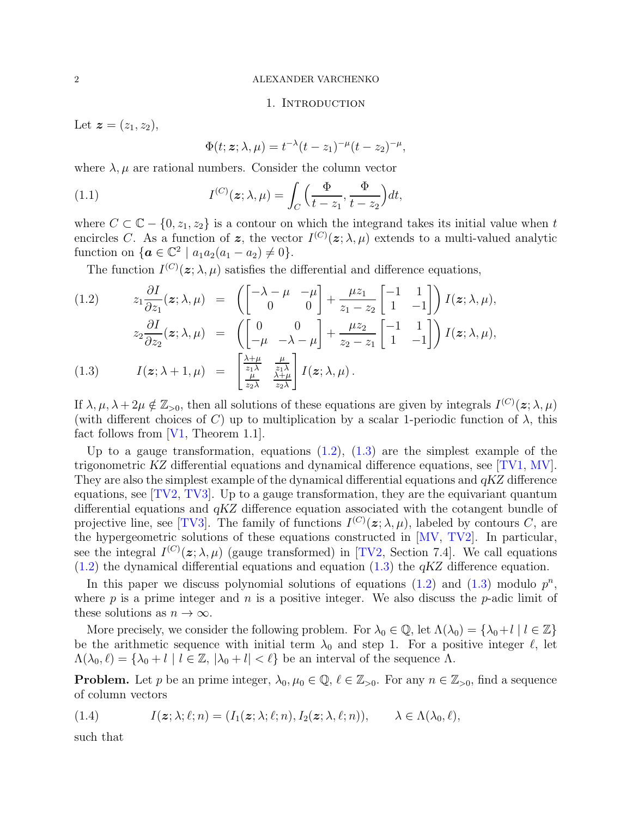### 1. INTRODUCTION

<span id="page-1-0"></span>Let  $z = (z_1, z_2)$ ,

<span id="page-1-2"></span>
$$
\Phi(t; \boldsymbol{z}; \lambda, \mu) = t^{-\lambda} (t - z_1)^{-\mu} (t - z_2)^{-\mu},
$$

where  $\lambda, \mu$  are rational numbers. Consider the column vector

(1.1) 
$$
I^{(C)}(\boldsymbol{z}; \lambda, \mu) = \int_C \left(\frac{\Phi}{t-z_1}, \frac{\Phi}{t-z_2}\right) dt,
$$

where  $C \subset \mathbb{C} - \{0, z_1, z_2\}$  is a contour on which the integrand takes its initial value when t encircles C. As a function of z, the vector  $I^{(C)}(z; \lambda, \mu)$  extends to a multi-valued analytic function on  $\{a \in \mathbb{C}^2 \mid a_1 a_2 (a_1 - a_2) \neq 0\}.$ 

<span id="page-1-1"></span>The function  $I^{(C)}(z; \lambda, \mu)$  satisfies the differential and difference equations,

(1.2) 
$$
z_{1} \frac{\partial I}{\partial z_{1}}(\mathbf{z}; \lambda, \mu) = \begin{pmatrix} \begin{bmatrix} -\lambda - \mu & -\mu \\ 0 & 0 \end{bmatrix} + \frac{\mu z_{1}}{z_{1} - z_{2}} \begin{bmatrix} -1 & 1 \\ 1 & -1 \end{bmatrix} \end{pmatrix} I(\mathbf{z}; \lambda, \mu),
$$

$$
z_{2} \frac{\partial I}{\partial z_{2}}(\mathbf{z}; \lambda, \mu) = \begin{pmatrix} 0 & 0 \\ -\mu & -\lambda - \mu \end{pmatrix} + \frac{\mu z_{2}}{z_{2} - z_{1}} \begin{bmatrix} -1 & 1 \\ 1 & -1 \end{bmatrix} I(\mathbf{z}; \lambda, \mu),
$$

$$
I(\mathbf{z}; \lambda + 1, \mu) = \begin{bmatrix} \frac{\lambda + \mu}{z_{1} \lambda} & \frac{\mu}{z_{1} \lambda} \\ \frac{\mu}{z_{2} \lambda} & \frac{\lambda + \mu}{z_{2} \lambda} \end{bmatrix} I(\mathbf{z}; \lambda, \mu).
$$

If  $\lambda, \mu, \lambda + 2\mu \notin \mathbb{Z}_{>0}$ , then all solutions of these equations are given by integrals  $I^{(C)}(z; \lambda, \mu)$ (with different choices of C) up to multiplication by a scalar 1-periodic function of  $\lambda$ , this fact follows from [\[V1,](#page-15-0) Theorem 1.1].

Up to a gauge transformation, equations  $(1.2)$ ,  $(1.3)$  are the simplest example of the trigonometric KZ differential equations and dynamical difference equations, see [\[TV1,](#page-14-2) [MV\]](#page-14-3). They are also the simplest example of the dynamical differential equations and  $qKZ$  difference equations, see  $[TV2, TV3]$  $[TV2, TV3]$ . Up to a gauge transformation, they are the equivariant quantum differential equations and qKZ difference equation associated with the cotangent bundle of projective line, see [\[TV3\]](#page-15-1). The family of functions  $I^{(C)}(z; \lambda, \mu)$ , labeled by contours C, are the hypergeometric solutions of these equations constructed in [\[MV,](#page-14-3) [TV2\]](#page-14-4). In particular, see the integral  $I^{(C)}(z; \lambda, \mu)$  (gauge transformed) in [\[TV2,](#page-14-4) Section 7.4]. We call equations  $(1.2)$  the dynamical differential equations and equation  $(1.3)$  the  $qKZ$  difference equation.

In this paper we discuss polynomial solutions of equations  $(1.2)$  and  $(1.3)$  modulo  $p^n$ , where p is a prime integer and n is a positive integer. We also discuss the p-adic limit of these solutions as  $n \to \infty$ .

More precisely, we consider the following problem. For  $\lambda_0 \in \mathbb{Q}$ , let  $\Lambda(\lambda_0) = {\lambda_0 + l \mid l \in \mathbb{Z}}$ be the arithmetic sequence with initial term  $\lambda_0$  and step 1. For a positive integer  $\ell$ , let  $\Lambda(\lambda_0, \ell) = {\lambda_0 + l \mid l \in \mathbb{Z}, |\lambda_0 + l| < \ell}$  be an interval of the sequence  $\Lambda$ .

**Problem.** Let p be an prime integer,  $\lambda_0, \mu_0 \in \mathbb{Q}$ ,  $\ell \in \mathbb{Z}_{>0}$ . For any  $n \in \mathbb{Z}_{>0}$ , find a sequence of column vectors

(1.4) 
$$
I(z; \lambda; \ell; n) = (I_1(z; \lambda; \ell; n), I_2(z; \lambda, \ell; n)), \lambda \in \Lambda(\lambda_0, \ell),
$$

such that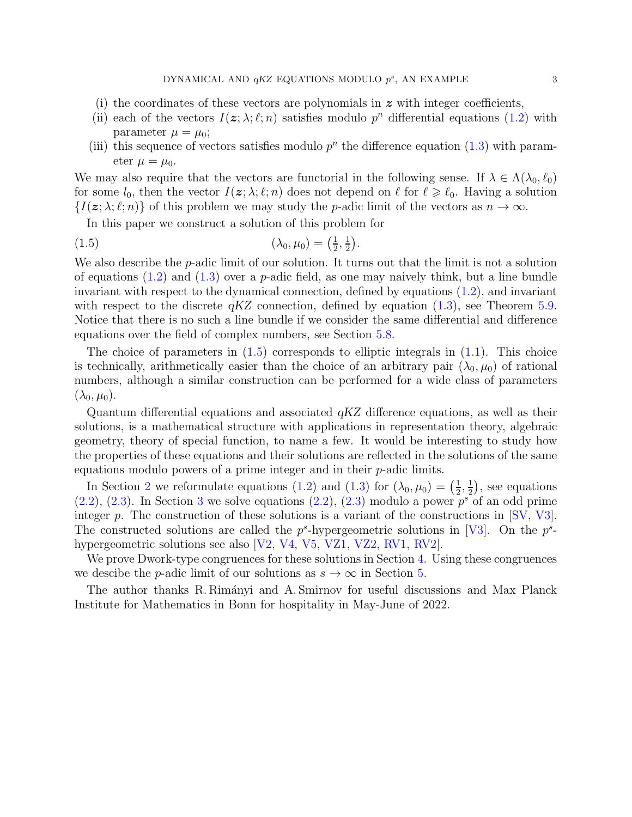- (i) the coordinates of these vectors are polynomials in  $\boldsymbol{z}$  with integer coefficients,
- (ii) each of the vectors  $I(z; \lambda; \ell; n)$  satisfies modulo  $p^n$  differential equations [\(1.2\)](#page-1-1) with parameter  $\mu = \mu_0$ ;
- (iii) this sequence of vectors satisfies modulo  $p<sup>n</sup>$  the difference equation [\(1.3\)](#page-1-1) with parameter  $\mu = \mu_0$ .

We may also require that the vectors are functorial in the following sense. If  $\lambda \in \Lambda(\lambda_0, \ell_0)$ for some  $l_0$ , then the vector  $I(z; \lambda; \ell; n)$  does not depend on  $\ell$  for  $\ell \geq \ell_0$ . Having a solution  $\{I(\boldsymbol{z};\lambda;\ell;n)\}\$  of this problem we may study the p-adic limit of the vectors as  $n \to \infty$ .

<span id="page-2-0"></span>In this paper we construct a solution of this problem for

(1.5) 
$$
(\lambda_0, \mu_0) = \left(\frac{1}{2}, \frac{1}{2}\right).
$$

We also describe the *p*-adic limit of our solution. It turns out that the limit is not a solution of equations  $(1.2)$  and  $(1.3)$  over a *p*-adic field, as one may naively think, but a line bundle invariant with respect to the dynamical connection, defined by equations [\(1.2\)](#page-1-1), and invariant with respect to the discrete  $qKZ$  connection, defined by equation  $(1.3)$ , see Theorem [5.9.](#page-12-0) Notice that there is no such a line bundle if we consider the same differential and difference equations over the field of complex numbers, see Section [5.8.](#page-14-0)

The choice of parameters in  $(1.5)$  corresponds to elliptic integrals in  $(1.1)$ . This choice is technically, arithmetically easier than the choice of an arbitrary pair  $(\lambda_0, \mu_0)$  of rational numbers, although a similar construction can be performed for a wide class of parameters  $(\lambda_0, \mu_0).$ 

Quantum differential equations and associated  $qKZ$  difference equations, as well as their solutions, is a mathematical structure with applications in representation theory, algebraic geometry, theory of special function, to name a few. It would be interesting to study how the properties of these equations and their solutions are reflected in the solutions of the same equations modulo powers of a prime integer and in their  $p$ -adic limits.

In Section [2](#page-3-0) we reformulate equations [\(1.2\)](#page-1-1) and [\(1.3\)](#page-1-1) for  $(\lambda_0, \mu_0) = \left(\frac{1}{2}\right)$  $\frac{1}{2}$ ,  $\frac{1}{2}$  $(\frac{1}{2})$ , see equations  $(2.2)$ ,  $(2.3)$  $(2.3)$  $(2.3)$ . In Section 3 we solve equations  $(2.2)$ ,  $(2.3)$  modulo a power  $p^s$  of an odd prime integer p. The construction of these solutions is a variant of the constructions in [\[SV,](#page-14-5) [V3\]](#page-15-2). The constructed solutions are called the  $p^s$ -hypergeometric solutions in [\[V3\]](#page-15-2). On the  $p^s$ -hypergeometric solutions see also [\[V2,](#page-15-3) [V4,](#page-15-4) [V5,](#page-15-5) [VZ1,](#page-15-6) [VZ2,](#page-15-7) [RV1,](#page-14-6) [RV2\]](#page-14-7).

We prove Dwork-type congruences for these solutions in Section [4.](#page-6-1) Using these congruences we descibe the *p*-adic limit of our solutions as  $s \to \infty$  in Section [5.](#page-8-0)

The author thanks R. Rimányi and A. Smirnov for useful discussions and Max Planck Institute for Mathematics in Bonn for hospitality in May-June of 2022.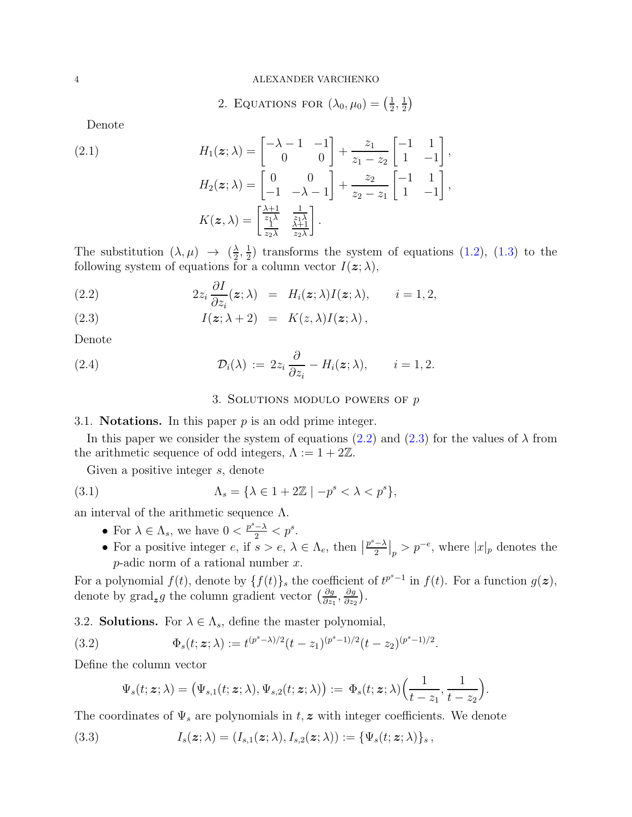2. EQUATIONS FOR 
$$
(\lambda_0, \mu_0) = (\frac{1}{2}, \frac{1}{2})
$$

<span id="page-3-0"></span>Denote

(2.1) 
$$
H_1(z; \lambda) = \begin{bmatrix} -\lambda - 1 & -1 \\ 0 & 0 \end{bmatrix} + \frac{z_1}{z_1 - z_2} \begin{bmatrix} -1 & 1 \\ 1 & -1 \end{bmatrix},
$$

$$
H_2(z; \lambda) = \begin{bmatrix} 0 & 0 \\ -1 & -\lambda - 1 \end{bmatrix} + \frac{z_2}{z_2 - z_1} \begin{bmatrix} -1 & 1 \\ 1 & -1 \end{bmatrix},
$$

$$
K(z, \lambda) = \begin{bmatrix} \frac{\lambda + 1}{z_1 \lambda} & \frac{1}{z_1 \lambda} \\ \frac{1}{z_2 \lambda} & \frac{\lambda + 1}{z_2 \lambda} \end{bmatrix}.
$$

The substitution  $(\lambda, \mu) \rightarrow (\frac{\lambda}{2})$  $\frac{\lambda}{2}, \frac{1}{2}$  $\frac{1}{2}$ ) transforms the system of equations [\(1.2\)](#page-1-1), [\(1.3\)](#page-1-1) to the following system of equations for a column vector  $I(z; \lambda)$ ,

(2.2) 
$$
2z_i \frac{\partial I}{\partial z_i}(\boldsymbol{z}; \lambda) = H_i(\boldsymbol{z}; \lambda) I(\boldsymbol{z}; \lambda), \qquad i = 1, 2,
$$

(2.3) 
$$
I(z; \lambda + 2) = K(z, \lambda)I(z; \lambda),
$$

Denote

<span id="page-3-1"></span>(2.4) 
$$
\mathcal{D}_i(\lambda) := 2z_i \frac{\partial}{\partial z_i} - H_i(\boldsymbol{z}; \lambda), \qquad i = 1, 2.
$$

# <span id="page-3-4"></span>3. SOLUTIONS MODULO POWERS OF  $p$

<span id="page-3-2"></span>3.1. **Notations.** In this paper  $p$  is an odd prime integer.

In this paper we consider the system of equations [\(2.2\)](#page-3-4) and [\(2.3\)](#page-3-4) for the values of  $\lambda$  from the arithmetic sequence of odd integers,  $\Lambda := 1 + 2\mathbb{Z}$ .

Given a positive integer s, denote

(3.1) 
$$
\Lambda_s = \{ \lambda \in 1 + 2\mathbb{Z} \mid -p^s < \lambda < p^s \},
$$

an interval of the arithmetic sequence  $Λ$ .

- For  $\lambda \in \Lambda_s$ , we have  $0 < \frac{p^s \lambda}{2} < p^s$ .
- For a positive integer  $e$ , if  $s > e$ ,  $\lambda \in \Lambda_e$ , then  $p^s - \lambda$  $\frac{-\lambda}{2}\big|_p > p^{-e}$ , where  $|x|_p$  denotes the  $p$ -adic norm of a rational number  $x$ .

For a polynomial  $f(t)$ , denote by  $\{f(t)\}_s$  the coefficient of  $t^{p^s-1}$  in  $f(t)$ . For a function  $g(z)$ , denote by  $\text{grad}_z g$  the column gradient vector  $\left(\frac{\partial g}{\partial x}\right)$  $\frac{\partial g}{\partial z_1},\frac{\partial g}{\partial z_2}$  $\frac{\partial g}{\partial z_2}\Big).$ 

<span id="page-3-3"></span>3.2. **Solutions.** For  $\lambda \in \Lambda_s$ , define the master polynomial,

(3.2) 
$$
\Phi_s(t; \mathbf{z}; \lambda) := t^{(p^s - \lambda)/2} (t - z_1)^{(p^s - 1)/2} (t - z_2)^{(p^s - 1)/2}.
$$

Define the column vector

$$
\Psi_s(t; \boldsymbol{z}; \lambda) = \big(\Psi_{s,1}(t; \boldsymbol{z}; \lambda), \Psi_{s,2}(t; \boldsymbol{z}; \lambda)\big) := \Phi_s(t; \boldsymbol{z}; \lambda) \Big(\frac{1}{t-z_1}, \frac{1}{t-z_2}\Big).
$$

The coordinates of  $\Psi_s$  are polynomials in t, z with integer coefficients. We denote

(3.3) 
$$
I_s(\boldsymbol{z};\lambda)=(I_{s,1}(\boldsymbol{z};\lambda),I_{s,2}(\boldsymbol{z};\lambda)):=\{\Psi_s(t;\boldsymbol{z};\lambda)\}_s,
$$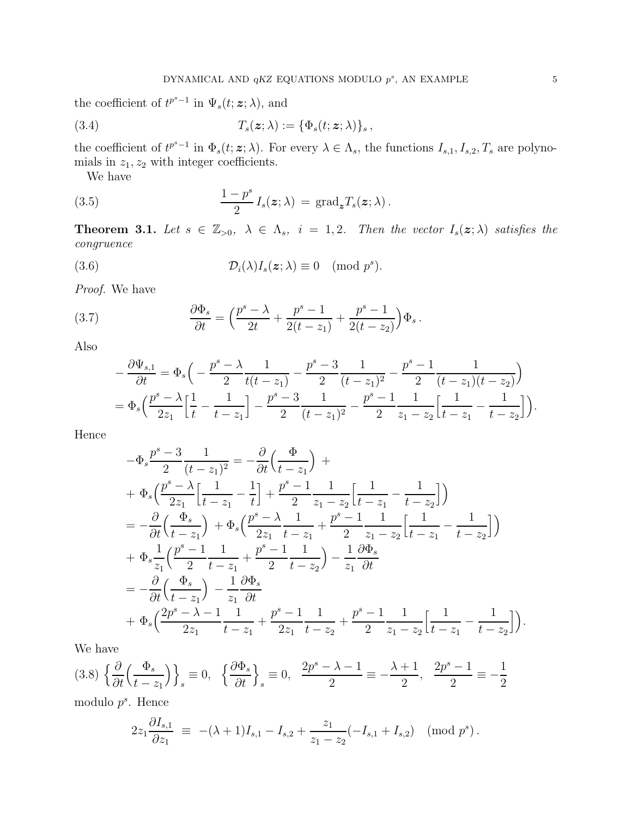the coefficient of  $t^{p^s-1}$  in  $\Psi_s(t; z; \lambda)$ , and

(3.4) 
$$
T_s(\mathbf{z};\lambda) := \{\Phi_s(t;\mathbf{z};\lambda)\}_s,
$$

the coefficient of  $t^{p^s-1}$  in  $\Phi_s(t; z; \lambda)$ . For every  $\lambda \in \Lambda_s$ , the functions  $I_{s,1}, I_{s,2}, T_s$  are polynomials in  $z_1, z_2$  with integer coefficients.

<span id="page-4-3"></span>We have

(3.5) 
$$
\frac{1-p^s}{2} I_s(z;\lambda) = \text{grad}_{\mathbf{z}} T_s(z;\lambda).
$$

**Theorem 3.1.** Let  $s \in \mathbb{Z}_{>0}$ ,  $\lambda \in \Lambda_s$ ,  $i = 1, 2$ . Then the vector  $I_s(\mathbf{z}; \lambda)$  satisfies the congruence

(3.6) 
$$
\mathcal{D}_i(\lambda)I_s(\boldsymbol{z};\lambda) \equiv 0 \pmod{p^s}.
$$

Proof. We have

(3.7) 
$$
\frac{\partial \Phi_s}{\partial t} = \left(\frac{p^s - \lambda}{2t} + \frac{p^s - 1}{2(t - z_1)} + \frac{p^s - 1}{2(t - z_2)}\right) \Phi_s.
$$

Also

<span id="page-4-1"></span><span id="page-4-0"></span>
$$
-\frac{\partial \Psi_{s,1}}{\partial t} = \Phi_s \left( -\frac{p^s - \lambda}{2} \frac{1}{t(t - z_1)} - \frac{p^s - 3}{2} \frac{1}{(t - z_1)^2} - \frac{p^s - 1}{2} \frac{1}{(t - z_1)(t - z_2)} \right)
$$
  
= 
$$
\Phi_s \left( \frac{p^s - \lambda}{2z_1} \left[ \frac{1}{t} - \frac{1}{t - z_1} \right] - \frac{p^s - 3}{2} \frac{1}{(t - z_1)^2} - \frac{p^s - 1}{2} \frac{1}{z_1 - z_2} \left[ \frac{1}{t - z_1} - \frac{1}{t - z_2} \right] \right).
$$

Hence

$$
-\Phi_s \frac{p^s - 3}{2} \frac{1}{(t - z_1)^2} = -\frac{\partial}{\partial t} \left( \frac{\Phi}{t - z_1} \right) +
$$
  
+ 
$$
\Phi_s \left( \frac{p^s - \lambda}{2z_1} \left[ \frac{1}{t - z_1} - \frac{1}{t} \right] + \frac{p^s - 1}{2} \frac{1}{z_1 - z_2} \left[ \frac{1}{t - z_1} - \frac{1}{t - z_2} \right] \right)
$$
  
= 
$$
-\frac{\partial}{\partial t} \left( \frac{\Phi_s}{t - z_1} \right) + \Phi_s \left( \frac{p^s - \lambda}{2z_1} \frac{1}{t - z_1} + \frac{p^s - 1}{2} \frac{1}{z_1 - z_2} \left[ \frac{1}{t - z_1} - \frac{1}{t - z_2} \right] \right)
$$
  
+ 
$$
\Phi_s \frac{1}{z_1} \left( \frac{p^s - 1}{2} \frac{1}{t - z_1} + \frac{p^s - 1}{2} \frac{1}{t - z_2} \right) - \frac{1}{z_1} \frac{\partial \Phi_s}{\partial t}
$$
  
= 
$$
-\frac{\partial}{\partial t} \left( \frac{\Phi_s}{t - z_1} \right) - \frac{1}{z_1} \frac{\partial \Phi_s}{\partial t}
$$
  
+ 
$$
\Phi_s \left( \frac{2p^s - \lambda - 1}{2z_1} \frac{1}{t - z_1} + \frac{p^s - 1}{2z_1} \frac{1}{t - z_2} + \frac{p^s - 1}{2} \frac{1}{z_1 - z_2} \left[ \frac{1}{t - z_1} - \frac{1}{t - z_2} \right] \right).
$$

We have

<span id="page-4-2"></span>
$$
(3.8)\left\{\frac{\partial}{\partial t}\left(\frac{\Phi_s}{t-z_1}\right)\right\}_s \equiv 0, \quad \left\{\frac{\partial \Phi_s}{\partial t}\right\}_s \equiv 0, \quad \frac{2p^s - \lambda - 1}{2} \equiv -\frac{\lambda + 1}{2}, \quad \frac{2p^s - 1}{2} \equiv -\frac{1}{2}
$$

modulo  $p^s$ . Hence

$$
2z_1 \frac{\partial I_{s,1}}{\partial z_1} \equiv -(\lambda + 1)I_{s,1} - I_{s,2} + \frac{z_1}{z_1 - z_2}(-I_{s,1} + I_{s,2}) \pmod{p^s}.
$$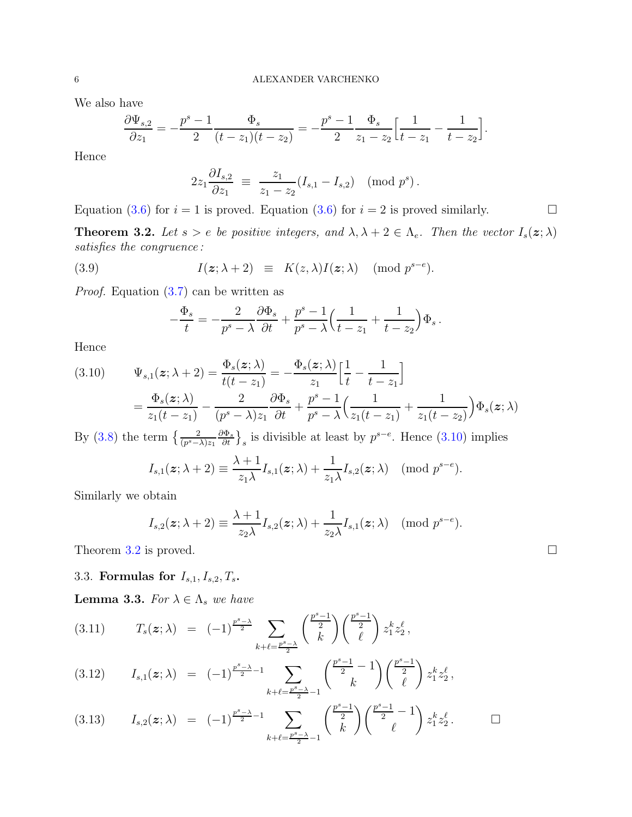We also have

$$
\frac{\partial \Psi_{s,2}}{\partial z_1} = -\frac{p^s - 1}{2} \frac{\Phi_s}{(t - z_1)(t - z_2)} = -\frac{p^s - 1}{2} \frac{\Phi_s}{z_1 - z_2} \Big[ \frac{1}{t - z_1} - \frac{1}{t - z_2} \Big].
$$

Hence

$$
2z_1 \frac{\partial I_{s,2}}{\partial z_1} \equiv \frac{z_1}{z_1 - z_2} (I_{s,1} - I_{s,2}) \pmod{p^s}.
$$

Equation [\(3.6\)](#page-4-0) for  $i = 1$  is proved. Equation (3.6) for  $i = 2$  is proved similarly.

<span id="page-5-2"></span>**Theorem 3.2.** Let  $s > e$  be positive integers, and  $\lambda, \lambda + 2 \in \Lambda_e$ . Then the vector  $I_s(\mathbf{z}; \lambda)$ satisfies the congruence :

(3.9) 
$$
I(z; \lambda + 2) \equiv K(z, \lambda)I(z; \lambda) \pmod{p^{s-e}}.
$$

*Proof.* Equation  $(3.7)$  can be written as

<span id="page-5-3"></span>
$$
-\frac{\Phi_s}{t} = -\frac{2}{p^s - \lambda} \frac{\partial \Phi_s}{\partial t} + \frac{p^s - 1}{p^s - \lambda} \Big( \frac{1}{t - z_1} + \frac{1}{t - z_2} \Big) \Phi_s.
$$

Hence

<span id="page-5-1"></span>(3.10) 
$$
\Psi_{s,1}(z;\lambda+2) = \frac{\Phi_s(z;\lambda)}{t(t-z_1)} = -\frac{\Phi_s(z;\lambda)}{z_1} \left[\frac{1}{t} - \frac{1}{t-z_1}\right]
$$

$$
= \frac{\Phi_s(z;\lambda)}{z_1(t-z_1)} - \frac{2}{(p^s-\lambda)z_1} \frac{\partial \Phi_s}{\partial t} + \frac{p^s-1}{p^s-\lambda} \left(\frac{1}{z_1(t-z_1)} + \frac{1}{z_1(t-z_2)}\right) \Phi_s(z;\lambda)
$$

By [\(3.8\)](#page-4-2) the term  $\left\{\frac{2}{(p^s-\lambda)z_1}\frac{\partial \Phi_s}{\partial t}\right\}_s$  is divisible at least by  $p^{s-e}$ . Hence [\(3.10\)](#page-5-1) implies

$$
I_{s,1}(\boldsymbol{z};\lambda+2) \equiv \frac{\lambda+1}{z_1\lambda}I_{s,1}(\boldsymbol{z};\lambda) + \frac{1}{z_1\lambda}I_{s,2}(\boldsymbol{z};\lambda) \pmod{p^{s-e}}.
$$

Similarly we obtain

$$
I_{s,2}(\boldsymbol{z};\lambda+2) \equiv \frac{\lambda+1}{z_2\lambda}I_{s,2}(\boldsymbol{z};\lambda) + \frac{1}{z_2\lambda}I_{s,1}(\boldsymbol{z};\lambda) \pmod{p^{s-e}}.
$$

<span id="page-5-0"></span>Theorem [3.2](#page-5-2) is proved.  $\square$ 

# 3.3. Formulas for  $I_{s,1}, I_{s,2}, T_s$ .

**Lemma 3.3.** For  $\lambda \in \Lambda_s$  we have

$$
(3.11) \t T_s(z; \lambda) = (-1)^{\frac{p^s - \lambda}{2}} \sum_{k+\ell = \frac{p^s - \lambda}{2}} {\binom{\frac{p^s - 1}{2}}{k}} {\binom{\frac{p^s - 1}{2}}{\ell}} z_1^k z_2^{\ell},
$$

$$
(3.12) \tI_{s,1}(z;\lambda) = (-1)^{\frac{p^s-\lambda}{2}-1} \sum_{k+\ell=\frac{p^s-\lambda}{2}-1} {\binom{\frac{p^s-1}{2}-1}{k}} {\binom{\frac{p^s-1}{2}}{\ell}} z_1^k z_2^{\ell},
$$

$$
(3.13) \tI_{s,2}(z;\lambda) = (-1)^{\frac{p^{s}-\lambda}{2}-1} \sum_{k+\ell=\frac{p^{s}-\lambda}{2}-1} {\binom{\frac{p^{s}-1}{2}}{k}} {\binom{\frac{p^{s}-1}{2}}{\ell}} z_{1}^{k} z_{2}^{\ell}. \square
$$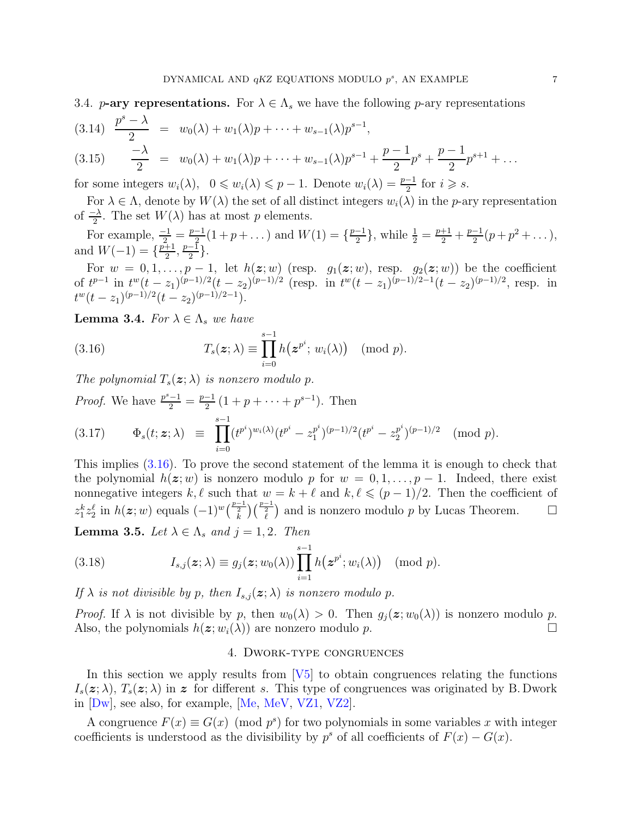<span id="page-6-0"></span>3.4. **p-ary representations.** For  $\lambda \in \Lambda_s$  we have the following p-ary representations

$$
(3.14) \frac{p^s - \lambda}{2} = w_0(\lambda) + w_1(\lambda)p + \dots + w_{s-1}(\lambda)p^{s-1},
$$
  

$$
(3.15) \frac{-\lambda}{2} = w_0(\lambda) + w_1(\lambda)p + \dots + w_{s-1}(\lambda)p^{s-1} + \frac{p-1}{2}p^s + \frac{p-1}{2}p^{s+1} + \dots
$$

for some integers  $w_i(\lambda)$ ,  $0 \leq w_i(\lambda) \leq p-1$ . Denote  $w_i(\lambda) = \frac{p-1}{2}$  for  $i \geq s$ .

For  $\lambda \in \Lambda$ , denote by  $W(\lambda)$  the set of all distinct integers  $w_i(\lambda)$  in the *p*-ary representation of  $\frac{-\lambda}{2}$ . The set  $W(\lambda)$  has at most p elements. 2

For example,  $\frac{-1}{2} = \frac{p-1}{2}$  $\frac{-1}{2}(1+p+\dots)$  and  $W(1) = \{\frac{p-1}{2}$  $\frac{-1}{2}$ , while  $\frac{1}{2} = \frac{p+1}{2} + \frac{p-1}{2}$  $\frac{-1}{2}(p+p^2+\dots),$ and  $W(-1) = \frac{p+1}{2}$  $\frac{+1}{2}, \frac{p-1}{2}$  $\frac{-1}{2}$ .

For  $w = 0, 1, \ldots, p - 1$ , let  $h(z; w)$  (resp.  $g_1(z; w)$ , resp.  $g_2(z; w)$ ) be the coefficient of  $t^{p-1}$  in  $t^w(t-z_1)^{(p-1)/2}(t-z_2)^{(p-1)/2}$  (resp. in  $t^w(t-z_1)^{(p-1)/2-1}(t-z_2)^{(p-1)/2}$ , resp. in  $t^w(t-z_1)^{(p-1)/2}(t-z_2)^{(p-1)/2-1}).$ 

<span id="page-6-3"></span>**Lemma 3.4.** For  $\lambda \in \Lambda_s$  we have

<span id="page-6-2"></span>(3.16) 
$$
T_s(\boldsymbol{z};\lambda) \equiv \prod_{i=0}^{s-1} h(\boldsymbol{z}^{p^i}; w_i(\lambda)) \pmod{p}.
$$

The polynomial  $T_s(z; \lambda)$  is nonzero modulo p.

*Proof.* We have 
$$
\frac{p^s - 1}{2} = \frac{p-1}{2} (1 + p + \dots + p^{s-1})
$$
. Then  
\n
$$
(3.17) \qquad \Phi_s(t; \mathbf{z}; \lambda) \equiv \prod_{i=0}^{s-1} (t^{p^i})^{w_i(\lambda)} (t^{p^i} - z_1^{p^i})^{(p-1)/2} (t^{p^i} - z_2^{p^i})^{(p-1)/2} \pmod{p}.
$$

This implies [\(3.16\)](#page-6-2). To prove the second statement of the lemma it is enough to check that the polynomial  $h(z; w)$  is nonzero modulo p for  $w = 0, 1, \ldots, p - 1$ . Indeed, there exist nonnegative integers k,  $\ell$  such that  $w = k + \ell$  and  $k, \ell \leq (p-1)/2$ . Then the coefficient of  $z_1^k z_2^{\ell}$  in  $h(z; w)$  equals  $(-1)^w\left(\frac{p-1}{\ell}\right)\left(\frac{p-1}{\ell}\right)$  and is nonzero modulo p by Lucas Theorem. □ **Lemma 3.5.** Let  $\lambda \in \Lambda_s$  and  $j = 1, 2$ . Then

<span id="page-6-4"></span>(3.18) 
$$
I_{s,j}(\boldsymbol{z};\lambda) \equiv g_j(\boldsymbol{z};w_0(\lambda)) \prod_{i=1}^{s-1} h(\boldsymbol{z}^{p^i};w_i(\lambda)) \pmod{p}.
$$

If  $\lambda$  is not divisible by p, then  $I_{s,j}(\boldsymbol{z};\lambda)$  is nonzero modulo p.

<span id="page-6-1"></span>*Proof.* If  $\lambda$  is not divisible by p, then  $w_0(\lambda) > 0$ . Then  $g_i(z; w_0(\lambda))$  is nonzero modulo p. Also, the polynomials  $h(z; w_i(\lambda))$  are nonzero modulo p.

# 4. Dwork-type congruences

In this section we apply results from  $[V5]$  to obtain congruences relating the functions  $I_s(z; \lambda)$ ,  $T_s(z; \lambda)$  in z for different s. This type of congruences was originated by B. Dwork in [\[Dw\]](#page-14-8), see also, for example, [\[Me,](#page-14-9) [MeV,](#page-14-10) [VZ1,](#page-15-6) [VZ2\]](#page-15-7).

A congruence  $F(x) \equiv G(x) \pmod{p^s}$  for two polynomials in some variables x with integer coefficients is understood as the divisibility by  $p^s$  of all coefficients of  $F(x) - G(x)$ .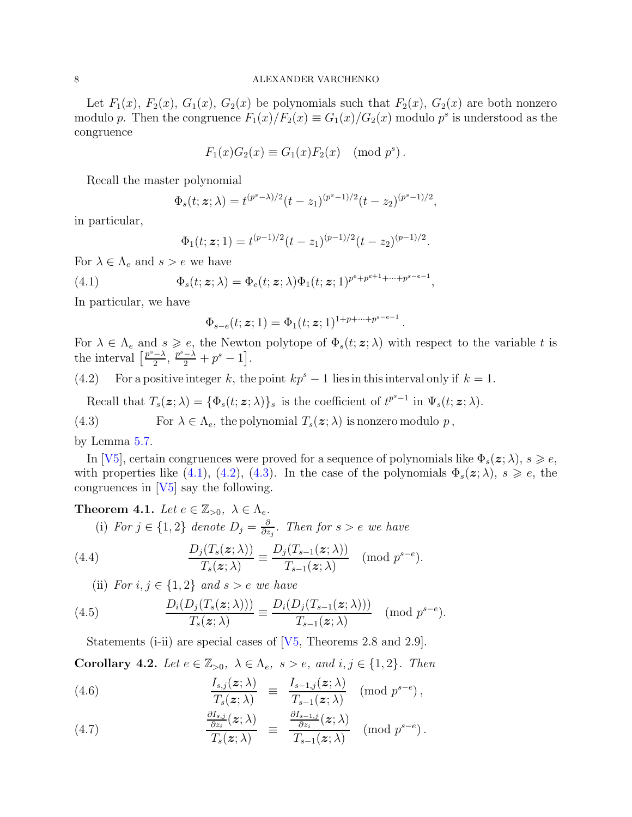Let  $F_1(x)$ ,  $F_2(x)$ ,  $G_1(x)$ ,  $G_2(x)$  be polynomials such that  $F_2(x)$ ,  $G_2(x)$  are both nonzero modulo p. Then the congruence  $F_1(x)/F_2(x) \equiv G_1(x)/G_2(x)$  modulo  $p^s$  is understood as the congruence

$$
F_1(x)G_2(x) \equiv G_1(x)F_2(x) \pmod{p^s}.
$$

Recall the master polynomial

$$
\Phi_s(t; \mathbf{z}; \lambda) = t^{(p^s - \lambda)/2} (t - z_1)^{(p^s - 1)/2} (t - z_2)^{(p^s - 1)/2},
$$

in particular,

<span id="page-7-0"></span>
$$
\Phi_1(t; \boldsymbol{z}; 1) = t^{(p-1)/2} (t - z_1)^{(p-1)/2} (t - z_2)^{(p-1)/2}.
$$

For  $\lambda \in \Lambda_e$  and  $s > e$  we have

(4.1) 
$$
\Phi_s(t; \mathbf{z}; \lambda) = \Phi_e(t; \mathbf{z}; \lambda) \Phi_1(t; \mathbf{z}; 1)^{p^e + p^{e+1} + \cdots + p^{s-e-1}},
$$

In particular, we have

$$
\Phi_{s-e}(t;\bm{z};1)=\Phi_1(t;\bm{z};1)^{1+p+\cdots+p^{s-e-1}}
$$

For  $\lambda \in \Lambda_e$  and  $s \geq e$ , the Newton polytope of  $\Phi_s(t; z; \lambda)$  with respect to the variable t is the interval  $\left[\frac{p^{s}-\lambda}{2}\right]$  $\frac{-\lambda}{2}, \frac{p^s-\lambda}{2}+p^s-1].$ 

.

<span id="page-7-1"></span>(4.2) For a positive integer k, the point  $kp^s - 1$  lies in this interval only if  $k = 1$ .

<span id="page-7-2"></span>Recall that  $T_s(\mathbf{z}; \lambda) = {\Phi_s(t; \mathbf{z}; \lambda)}_s$  is the coefficient of  $t^{p^s-1}$  in  $\Psi_s(t; \mathbf{z}; \lambda)$ .

(4.3) For  $\lambda \in \Lambda_e$ , the polynomial  $T_s(\boldsymbol{z}; \lambda)$  is nonzero modulo p,

by Lemma [5.7.](#page-11-1)

In [\[V5\]](#page-15-5), certain congruences were proved for a sequence of polynomials like  $\Phi_s(\mathbf{z}; \lambda), s \geqslant e$ , with properties like [\(4.1\)](#page-7-0), [\(4.2\)](#page-7-1), [\(4.3\)](#page-7-2). In the case of the polynomials  $\Phi_s(z; \lambda)$ ,  $s \geq e$ , the congruences in  $[V5]$  say the following.

<span id="page-7-3"></span>**Theorem 4.1.** Let  $e \in \mathbb{Z}_{>0}$ ,  $\lambda \in \Lambda_e$ . (i) For  $j \in \{1,2\}$  denote  $D_j = \frac{\partial}{\partial z}$  $\frac{\partial}{\partial z_j}$ . Then for s > e we have

(4.4) 
$$
\frac{D_j(T_s(\boldsymbol{z};\lambda))}{T_s(\boldsymbol{z};\lambda)} \equiv \frac{D_j(T_{s-1}(\boldsymbol{z};\lambda))}{T_{s-1}(\boldsymbol{z};\lambda)} \pmod{p^{s-e}}.
$$

(ii) For  $i, j \in \{1, 2\}$  and  $s > e$  we have

(4.5) 
$$
\frac{D_i(D_j(T_s(\boldsymbol{z};\lambda)))}{T_s(\boldsymbol{z};\lambda)} \equiv \frac{D_i(D_j(T_{s-1}(\boldsymbol{z};\lambda)))}{T_{s-1}(\boldsymbol{z};\lambda)} \pmod{p^{s-e}}.
$$

<span id="page-7-4"></span>Statements (i-ii) are special cases of  $[V_5,$  Theorems 2.8 and 2.9.

Corollary 4.2. Let  $e \in \mathbb{Z}_{>0}$ ,  $\lambda \in \Lambda_e$ ,  $s > e$ , and  $i, j \in \{1, 2\}$ . Then

(4.6) 
$$
\frac{I_{s,j}(z;\lambda)}{T_s(z;\lambda)} \equiv \frac{I_{s-1,j}(z;\lambda)}{T_{s-1}(z;\lambda)} \pmod{p^{s-e}},
$$

(4.7) 
$$
\frac{\frac{\partial I_{s,j}}{\partial z_i}(z;\lambda)}{T_s(z;\lambda)} \equiv \frac{\frac{\partial I_{s-1,j}}{\partial z_i}(z;\lambda)}{T_{s-1}(z;\lambda)} \pmod{p^{s-e}}.
$$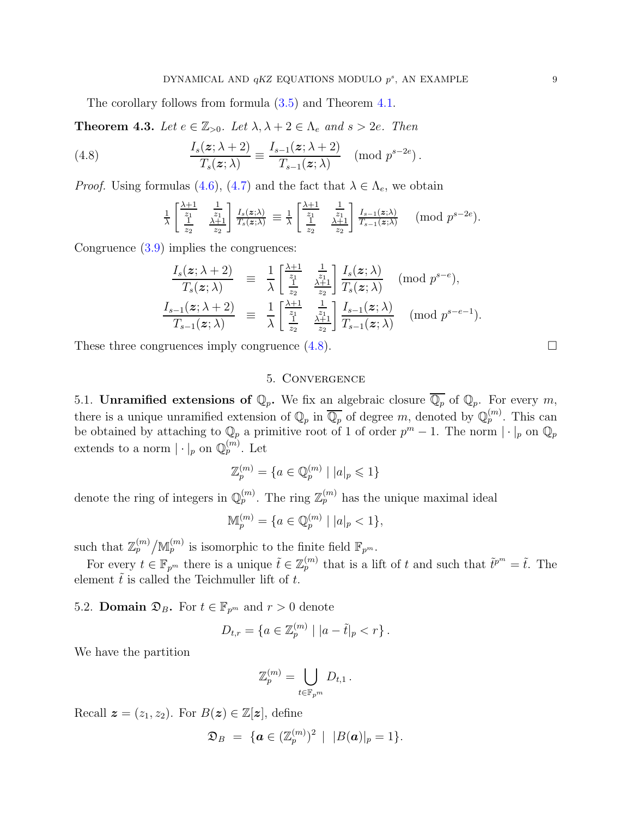The corollary follows from formula [\(3.5\)](#page-4-3) and Theorem [4.1.](#page-7-3)

**Theorem 4.3.** Let  $e \in \mathbb{Z}_{>0}$ . Let  $\lambda, \lambda + 2 \in \Lambda_e$  and  $s > 2e$ . Then

(4.8) 
$$
\frac{I_s(z;\lambda+2)}{T_s(z;\lambda)} \equiv \frac{I_{s-1}(z;\lambda+2)}{T_{s-1}(z;\lambda)} \pmod{p^{s-2e}}.
$$

*Proof.* Using formulas [\(4.6\)](#page-7-4), [\(4.7\)](#page-7-4) and the fact that  $\lambda \in \Lambda_e$ , we obtain

<span id="page-8-3"></span>
$$
\frac{1}{\lambda} \begin{bmatrix} \frac{\lambda+1}{z_1} & \frac{1}{z_1} \\ \frac{1}{z_2} & \frac{\lambda+1}{z_2} \end{bmatrix} \frac{I_s(z;\lambda)}{T_s(z;\lambda)} \equiv \frac{1}{\lambda} \begin{bmatrix} \frac{\lambda+1}{z_1} & \frac{1}{z_1} \\ \frac{1}{z_2} & \frac{\lambda+1}{z_2} \end{bmatrix} \frac{I_{s-1}(z;\lambda)}{T_{s-1}(z;\lambda)} \pmod{p^{s-2e}}.
$$

Congruence [\(3.9\)](#page-5-3) implies the congruences:

$$
\frac{I_s(\boldsymbol{z}; \lambda+2)}{T_s(\boldsymbol{z}; \lambda)} \equiv \frac{1}{\lambda} \begin{bmatrix} \frac{\lambda+1}{z_1} & \frac{1}{z_1} \\ \frac{1}{z_2} & \frac{\lambda+1}{z_2} \end{bmatrix} \frac{I_s(\boldsymbol{z}; \lambda)}{T_s(\boldsymbol{z}; \lambda)} \pmod{p^{s-e}},
$$
\n
$$
\frac{I_{s-1}(\boldsymbol{z}; \lambda+2)}{T_{s-1}(\boldsymbol{z}; \lambda)} \equiv \frac{1}{\lambda} \begin{bmatrix} \frac{\lambda+1}{z_1} & \frac{1}{z_1} \\ \frac{1}{z_2} & \frac{\lambda+1}{z_2} \end{bmatrix} \frac{I_{s-1}(\boldsymbol{z}; \lambda)}{T_{s-1}(\boldsymbol{z}; \lambda)} \pmod{p^{s-e-1}}.
$$

<span id="page-8-0"></span>These three congruences imply congruence  $(4.8)$ .

# 5. Convergence

<span id="page-8-1"></span>5.1. **Unramified extensions of**  $\mathbb{Q}_p$ . We fix an algebraic closure  $\overline{\mathbb{Q}_p}$  of  $\mathbb{Q}_p$ . For every m, there is a unique unramified extension of  $\mathbb{Q}_p$  in  $\overline{\mathbb{Q}_p}$  of degree m, denoted by  $\mathbb{Q}_p^{(m)}$ . This can be obtained by attaching to  $\mathbb{Q}_p$  a primitive root of 1 of order  $p^m - 1$ . The norm  $|\cdot|_p$  on  $\mathbb{Q}_p$ extends to a norm  $|\cdot|_p$  on  $\mathbb{Q}_p^{(m)}$ . Let

$$
\mathbb{Z}_p^{(m)} = \{ a \in \mathbb{Q}_p^{(m)} \mid |a|_p \leqslant 1 \}
$$

denote the ring of integers in  $\mathbb{Q}_p^{(m)}$ . The ring  $\mathbb{Z}_p^{(m)}$  has the unique maximal ideal

$$
\mathbb{M}_p^{(m)} = \{ a \in \mathbb{Q}_p^{(m)} \mid |a|_p < 1 \},\
$$

such that  $\mathbb{Z}_p^{(m)}/\mathbb{M}_p^{(m)}$  is isomorphic to the finite field  $\mathbb{F}_{p^m}$ .

For every  $t \in \mathbb{F}_{p^m}$  there is a unique  $\tilde{t} \in \mathbb{Z}_p^{(m)}$  that is a lift of t and such that  $\tilde{t}^{p^m} = \tilde{t}$ . The element  $\tilde{t}$  is called the Teichmuller lift of t.

<span id="page-8-2"></span>5.2. **Domain**  $\mathfrak{D}_B$ . For  $t \in \mathbb{F}_{p^m}$  and  $r > 0$  denote

$$
D_{t,r} = \{ a \in \mathbb{Z}_p^{(m)} \mid |a - \tilde{t}|_p < r \} .
$$

We have the partition

$$
\mathbb{Z}_p^{(m)} = \bigcup_{t \in \mathbb{F}_{p^m}} D_{t,1} \, .
$$

Recall  $\boldsymbol{z} = (z_1, z_2)$ . For  $B(\boldsymbol{z}) \in \mathbb{Z}[\boldsymbol{z}]$ , define

$$
\mathfrak{D}_B \;=\; \{{\bm{a}} \in (\mathbb{Z}_p^{(m)})^2\, \mid\,\, |B({\bm{a}})|_p = 1\}.
$$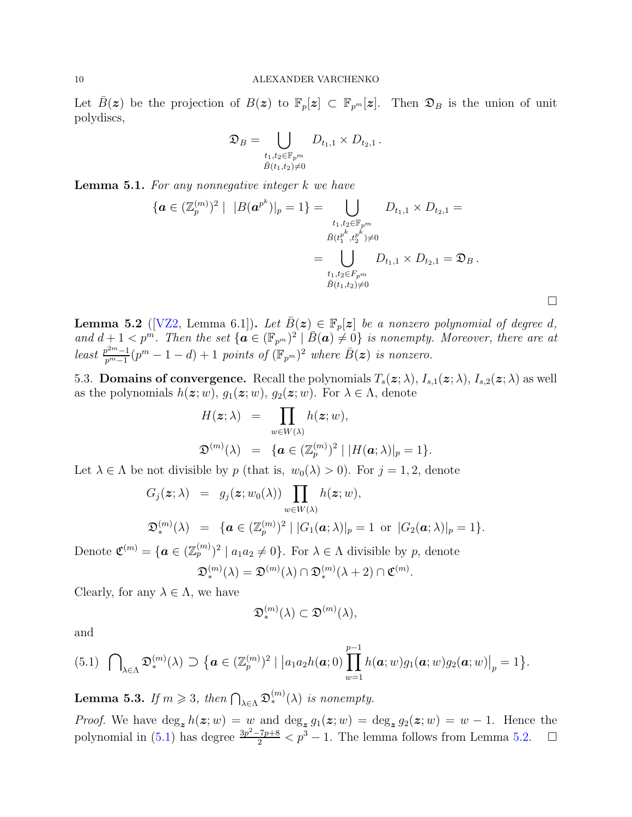Let  $\bar{B}(z)$  be the projection of  $B(z)$  to  $\mathbb{F}_p[z] \subset \mathbb{F}_{p^m}[z]$ . Then  $\mathfrak{D}_B$  is the union of unit polydiscs,

$$
\mathfrak{D}_B = \bigcup_{\substack{t_1, t_2 \in \mathbb{F}_{p^m} \\ \bar{B}(t_1, t_2) \neq 0}} D_{t_1, 1} \times D_{t_2, 1} \, .
$$

<span id="page-9-3"></span>Lemma 5.1. For any nonnegative integer k we have

$$
\{ \boldsymbol{a} \in (\mathbb{Z}_{p}^{(m)})^{2} \mid \, |B(\boldsymbol{a}^{p^{k}})|_{p} = 1 \} = \bigcup_{\substack{t_{1}, t_{2} \in \mathbb{F}_{p^{m}} \\ \bar{B}(t_{1}^{p^{k}}, t_{2}^{p^{k}}) \neq 0}} D_{t_{1}, 1} \times D_{t_{2}, 1} = \bigcup_{\substack{t_{1}, t_{2} \in F_{p^{m}} \\ \bar{B}(t_{1}, t_{2}) \neq 0}} D_{t_{1}, 1} \times D_{t_{2}, 1} = \mathfrak{D}_{B}.
$$

 $\Box$ 

<span id="page-9-2"></span>**Lemma 5.2** ([\[VZ2,](#page-15-7) Lemma 6.1]). Let  $\bar{B}(z) \in \mathbb{F}_p[z]$  be a nonzero polynomial of degree d, and  $d+1 < p^m$ . Then the set  $\{ \mathbf{a} \in (\mathbb{F}_{p^m})^2 \mid \bar{B}(\mathbf{a}) \neq 0 \}$  is nonempty. Moreover, there are at least  $\frac{p^{2m}-1}{p^m-1}$  $\frac{p^{2m}-1}{p^m-1}(p^m-1-d)+1$  points of  $(\mathbb{F}_{p^m})^2$  where  $\bar{B}(\boldsymbol{z})$  is nonzero.

<span id="page-9-0"></span>5.3. **Domains of convergence.** Recall the polynomials  $T_s(z; \lambda)$ ,  $I_{s,1}(z; \lambda)$ ,  $I_{s,2}(z; \lambda)$  as well as the polynomials  $h(z; w)$ ,  $g_1(z; w)$ ,  $g_2(z; w)$ . For  $\lambda \in \Lambda$ , denote

$$
H(\boldsymbol{z};\lambda) = \prod_{w \in W(\lambda)} h(\boldsymbol{z};w),
$$
  

$$
\mathfrak{D}^{(m)}(\lambda) = \{ \boldsymbol{a} \in (\mathbb{Z}_p^{(m)})^2 \mid |H(\boldsymbol{a};\lambda)|_p = 1 \}.
$$

Let  $\lambda \in \Lambda$  be not divisible by p (that is,  $w_0(\lambda) > 0$ ). For  $j = 1, 2$ , denote

$$
G_j(\mathbf{z}; \lambda) = g_j(\mathbf{z}; w_0(\lambda)) \prod_{w \in W(\lambda)} h(\mathbf{z}; w),
$$
  

$$
\mathfrak{D}_*^{(m)}(\lambda) = {\mathbf{a} \in (\mathbb{Z}_p^{(m)})^2 | |G_1(\mathbf{a}; \lambda)|_p = 1 \text{ or } |G_2(\mathbf{a}; \lambda)|_p = 1}.
$$

Denote  $\mathfrak{C}^{(m)} = {\mathbf{a} \in (\mathbb{Z}_p^{(m)})^2 \mid a_1 a_2 \neq 0}$ . For  $\lambda \in \Lambda$  divisible by p, denote

$$
\mathfrak{D}_{*}^{(m)}(\lambda) = \mathfrak{D}^{(m)}(\lambda) \cap \mathfrak{D}_{*}^{(m)}(\lambda + 2) \cap \mathfrak{C}^{(m)}.
$$

Clearly, for any  $\lambda \in \Lambda$ , we have

$$
\mathfrak{D}_{*}^{(m)}(\lambda) \subset \mathfrak{D}^{(m)}(\lambda),
$$

and

<span id="page-9-1"></span>
$$
(5.1) \quad \bigcap_{\lambda \in \Lambda} \mathfrak{D}_{*}^{(m)}(\lambda) \supset \left\{ \boldsymbol{a} \in (\mathbb{Z}_{p}^{(m)})^{2} \mid \left| a_{1}a_{2}h(\boldsymbol{a};0) \prod_{w=1}^{p-1} h(\boldsymbol{a};w) g_{1}(\boldsymbol{a};w) g_{2}(\boldsymbol{a};w) \right|_{p} = 1 \right\}.
$$

**Lemma 5.3.** If  $m \ge 3$ , then  $\bigcap_{\lambda \in \Lambda} \mathfrak{D}_{*}^{(m)}(\lambda)$  is nonempty.

*Proof.* We have  $\deg_z h(z;w) = w$  and  $\deg_z g_1(z;w) = \deg_z g_2(z;w) = w - 1$ . Hence the polynomial in [\(5.1\)](#page-9-1) has degree  $\frac{3p^2-7p+8}{2} < p^3 - 1$ . The lemma follows from Lemma [5.2.](#page-9-2)  $\Box$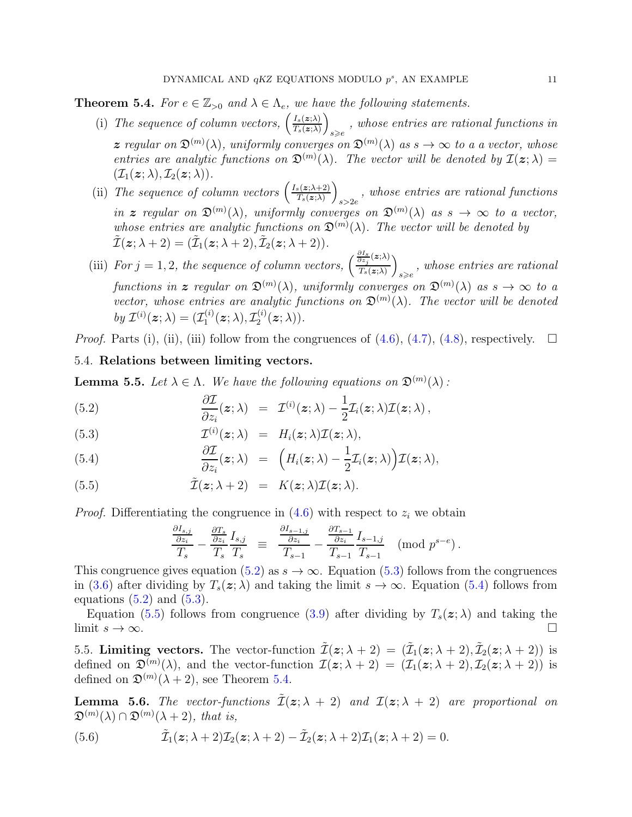<span id="page-10-3"></span>**Theorem 5.4.** For  $e \in \mathbb{Z}_{>0}$  and  $\lambda \in \Lambda_e$ , we have the following statements.

- (i) The sequence of column vectors,  $\left(\frac{I_s(z;\lambda)}{T(z;\lambda)}\right)$  $\frac{I_s(\bm{z};\lambda)}{T_s(\bm{z};\lambda)}\bigg)$  $\mathcal{L}_{s\geqslant e}$ , whose entries are rational functions in z regular on  $\mathfrak{D}^{(m)}(\lambda)$ , uniformly converges on  $\mathfrak{D}^{(m)}(\lambda)$  as  $s \to \infty$  to a a vector, whose entries are analytic functions on  $\mathfrak{D}^{(m)}(\lambda)$ . The vector will be denoted by  $\mathcal{I}(\mathbf{z};\lambda) =$  $(\mathcal{I}_1(\boldsymbol{z};\lambda), \mathcal{I}_2(\boldsymbol{z};\lambda)).$
- (ii) The sequence of column vectors  $\left(\frac{I_s(z;\lambda+2)}{T_s(z;\lambda)}\right)$  $\frac{\Gamma_s(\bm{z};\lambda+2)}{T_s(\bm{z};\lambda)}\bigg)$  $s > 2e$ , whose entries are rational functions in z regular on  $\mathfrak{D}^{(m)}(\lambda)$ , uniformly converges on  $\mathfrak{D}^{(m)}(\lambda)$  as  $s \to \infty$  to a vector, whose entries are analytic functions on  $\mathfrak{D}^{(m)}(\lambda)$ . The vector will be denoted by  $\tilde{\mathcal{I}}(\boldsymbol{z}; \lambda + 2) = (\tilde{\mathcal{I}}_1(\boldsymbol{z}; \lambda + 2), \tilde{\mathcal{I}}_2(\boldsymbol{z}; \lambda + 2)).$
- (iii) For  $j = 1, 2$ , the sequence of column vectors,  $\left(\frac{\partial I_s}{\partial z_j}(z;\lambda)\right)$  $\frac{\partial \overrightarrow{z_j}\left(\mathbf{z};\lambda\right)}{T_s(\mathbf{z};\lambda)}\bigg)$  $s_{\geqslant e}$ , whose entries are rational functions in  $\boldsymbol{z}$  regular on  $\mathfrak{D}^{(m)}(\lambda)$ , uniformly converges on  $\mathfrak{D}^{(m)}(\lambda)$  as  $s \to \infty$  to a vector, whose entries are analytic functions on  $\mathfrak{D}^{(m)}(\lambda)$ . The vector will be denoted by  $\mathcal{I}^{(i)}(\boldsymbol{z};\lambda) = (\mathcal{I}_1^{(i)})$  $\mathcal{I}_1^{(i)}(\boldsymbol{z};\lambda), \mathcal{I}_2^{(i)}$  $\mathcal{Z}^{(i)}_{2}(\boldsymbol{z};\lambda)).$

<span id="page-10-0"></span>*Proof.* Parts (i), (ii), (iii) follow from the congruences of  $(4.6)$ ,  $(4.7)$ ,  $(4.8)$ , respectively.  $\Box$ 

## 5.4. Relations between limiting vectors.

<span id="page-10-4"></span>**Lemma 5.5.** Let  $\lambda \in \Lambda$ . We have the following equations on  $\mathfrak{D}^{(m)}(\lambda)$ :

<span id="page-10-2"></span>(5.2) 
$$
\frac{\partial \mathcal{I}}{\partial z_i}(z;\lambda) = \mathcal{I}^{(i)}(z;\lambda) - \frac{1}{2}\mathcal{I}_i(z;\lambda)\mathcal{I}(z;\lambda),
$$

(5.3) 
$$
\mathcal{I}^{(i)}(\boldsymbol{z};\lambda) = H_i(\boldsymbol{z};\lambda)\mathcal{I}(\boldsymbol{z};\lambda),
$$

(5.4) 
$$
\frac{\partial \mathcal{I}}{\partial z_i}(\boldsymbol{z};\lambda) = \left( H_i(\boldsymbol{z};\lambda) - \frac{1}{2} \mathcal{I}_i(\boldsymbol{z};\lambda) \right) \mathcal{I}(\boldsymbol{z};\lambda),
$$

(5.5) 
$$
\tilde{\mathcal{I}}(\mathbf{z}; \lambda + 2) = K(\mathbf{z}; \lambda) \mathcal{I}(\mathbf{z}; \lambda).
$$

*Proof.* Differentiating the congruence in  $(4.6)$  with respect to  $z_i$  we obtain

$$
\frac{\frac{\partial I_{s,j}}{\partial z_i}}{T_s} - \frac{\frac{\partial T_s}{\partial z_i}}{T_s} \frac{I_{s,j}}{T_s} \equiv \frac{\frac{\partial I_{s-1,j}}{\partial z_i}}{T_{s-1}} - \frac{\frac{\partial T_{s-1}}{\partial z_i}}{T_{s-1}} \frac{I_{s-1,j}}{T_{s-1}} \pmod{p^{s-e}}.
$$

This congruence gives equation [\(5.2\)](#page-10-2) as  $s \to \infty$ . Equation [\(5.3\)](#page-10-2) follows from the congruences in [\(3.6\)](#page-4-0) after dividing by  $T_s(z; \lambda)$  and taking the limit  $s \to \infty$ . Equation [\(5.4\)](#page-10-2) follows from equations  $(5.2)$  and  $(5.3)$ .

Equation [\(5.5\)](#page-10-2) follows from congruence [\(3.9\)](#page-5-3) after dividing by  $T_s(z; \lambda)$  and taking the limit  $s \to \infty$ .

<span id="page-10-1"></span>5.5. Limiting vectors. The vector-function  $\tilde{\mathcal{I}}(\boldsymbol{z}; \lambda + 2) = (\tilde{\mathcal{I}}_1(\boldsymbol{z}; \lambda + 2), \tilde{\mathcal{I}}_2(\boldsymbol{z}; \lambda + 2))$  is defined on  $\mathfrak{D}^{(m)}(\lambda)$ , and the vector-function  $\mathcal{I}(\mathbf{z}; \lambda + 2) = (\mathcal{I}_1(\mathbf{z}; \lambda + 2), \mathcal{I}_2(\mathbf{z}; \lambda + 2))$  is defined on  $\mathfrak{D}^{(m)}(\lambda+2)$ , see Theorem [5.4.](#page-10-3)

<span id="page-10-5"></span>**Lemma 5.6.** The vector-functions  $\mathcal{I}(\mathbf{z}; \lambda + 2)$  and  $\mathcal{I}(\mathbf{z}; \lambda + 2)$  are proportional on  $\mathfrak{D}^{(m)}(\lambda) \cap \mathfrak{D}^{(m)}(\lambda+2)$ , that is,

(5.6) 
$$
\tilde{\mathcal{I}}_1(z;\lambda+2)\mathcal{I}_2(z;\lambda+2)-\tilde{\mathcal{I}}_2(z;\lambda+2)\mathcal{I}_1(z;\lambda+2)=0.
$$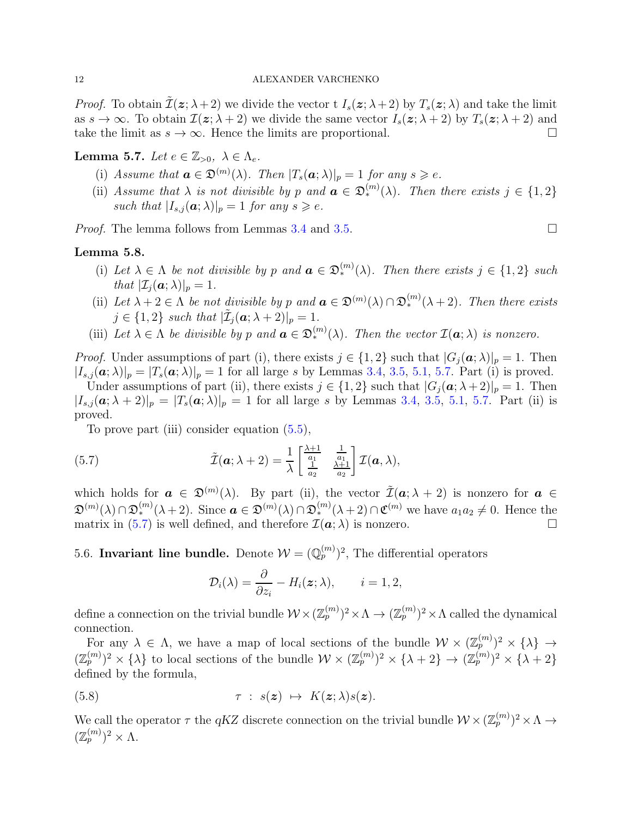*Proof.* To obtain  $\tilde{\mathcal{I}}(\boldsymbol{z}; \lambda + 2)$  we divide the vector t  $I_s(\boldsymbol{z}; \lambda + 2)$  by  $T_s(\boldsymbol{z}; \lambda)$  and take the limit as  $s \to \infty$ . To obtain  $\mathcal{I}(z; \lambda + 2)$  we divide the same vector  $I_s(z; \lambda + 2)$  by  $T_s(z; \lambda + 2)$  and take the limit as  $s \to \infty$ . Hence the limits are proportional.

<span id="page-11-1"></span>Lemma 5.7. Let  $e \in \mathbb{Z}_{>0}$ ,  $\lambda \in \Lambda_e$ .

- (i) Assume that  $\mathbf{a} \in \mathfrak{D}^{(m)}(\lambda)$ . Then  $|T_s(\mathbf{a}; \lambda)|_p = 1$  for any  $s \geqslant e$ .
- (ii) Assume that  $\lambda$  is not divisible by p and  $\mathbf{a} \in \mathfrak{D}_{*}^{(m)}(\lambda)$ . Then there exists  $j \in \{1,2\}$ such that  $|I_{s,i}(\boldsymbol{a};\lambda)|_p = 1$  for any  $s \geqslant e$ .

*Proof.* The lemma follows from Lemmas [3.4](#page-6-3) and [3.5.](#page-6-4)

### <span id="page-11-3"></span>Lemma 5.8.

- (i) Let  $\lambda \in \Lambda$  be not divisible by p and  $\mathbf{a} \in \mathfrak{D}_{*}^{(m)}(\lambda)$ . Then there exists  $j \in \{1,2\}$  such that  $|\mathcal{I}_i(\boldsymbol{a}; \lambda)|_p = 1$ .
- (ii) Let  $\lambda + 2 \in \Lambda$  be not divisible by p and  $\mathbf{a} \in \mathfrak{D}^{(m)}(\lambda) \cap \mathfrak{D}_{*}^{(m)}(\lambda+2)$ . Then there exists  $j \in \{1,2\}$  such that  $|\tilde{\mathcal{I}}_j(\boldsymbol{a}; \lambda + 2)|_p = 1$ .
- (iii) Let  $\lambda \in \Lambda$  be divisible by p and  $\mathbf{a} \in \mathfrak{D}_{*}^{(m)}(\lambda)$ . Then the vector  $\mathcal{I}(\mathbf{a};\lambda)$  is nonzero.

*Proof.* Under assumptions of part (i), there exists  $j \in \{1,2\}$  such that  $|G_j(\boldsymbol{a}; \lambda)|_p = 1$ . Then  $|I_{s,j}(\boldsymbol{a};\lambda)|_p = |T_s(\boldsymbol{a};\lambda)|_p = 1$  for all large s by Lemmas [3.4,](#page-6-3) [3.5,](#page-6-4) [5.1,](#page-9-3) [5.7.](#page-11-1) Part (i) is proved.

Under assumptions of part (ii), there exists  $j \in \{1,2\}$  such that  $|G_i(\mathbf{a}; \lambda + 2)|_p = 1$ . Then  $|I_{s,j}(\boldsymbol{a}; \lambda + 2)|_p = |T_s(\boldsymbol{a}; \lambda)|_p = 1$  for all large s by Lemmas [3.4,](#page-6-3) [3.5,](#page-6-4) [5.1,](#page-9-3) [5.7.](#page-11-1) Part (ii) is proved.

To prove part (iii) consider equation [\(5.5\)](#page-10-2),

(5.7) 
$$
\tilde{\mathcal{I}}(\boldsymbol{a}; \lambda + 2) = \frac{1}{\lambda} \begin{bmatrix} \frac{\lambda + 1}{a_1} & \frac{1}{a_1} \\ \frac{1}{a_2} & \frac{\lambda + 1}{a_2} \end{bmatrix} \mathcal{I}(\boldsymbol{a}, \lambda),
$$

which holds for  $a \in \mathfrak{D}^{(m)}(\lambda)$ . By part (ii), the vector  $\tilde{\mathcal{I}}(a; \lambda + 2)$  is nonzero for  $a \in$  $\mathfrak{D}^{(m)}(\lambda) \cap \mathfrak{D}_{*}^{(m)}(\lambda+2)$ . Since  $\boldsymbol{a} \in \mathfrak{D}^{(m)}(\lambda) \cap \mathfrak{D}_{*}^{(m)}(\lambda+2) \cap \mathfrak{C}^{(m)}$  we have  $a_1 a_2 \neq 0$ . Hence the matrix in [\(5.7\)](#page-11-2) is well defined, and therefore  $\mathcal{I}(\boldsymbol{a};\lambda)$  is nonzero.

<span id="page-11-0"></span>5.6. Invariant line bundle. Denote  $W = (\mathbb{Q}_p^{(m)})^2$ , The differential operators

<span id="page-11-2"></span>
$$
\mathcal{D}_i(\lambda) = \frac{\partial}{\partial z_i} - H_i(\boldsymbol{z}; \lambda), \qquad i = 1, 2,
$$

define a connection on the trivial bundle  $\mathcal{W}\times(\mathbb{Z}_p^{(m)})^2\times\Lambda\to(\mathbb{Z}_p^{(m)})^2\times\Lambda$  called the dynamical connection.

For any  $\lambda \in \Lambda$ , we have a map of local sections of the bundle  $\mathcal{W} \times (\mathbb{Z}_p^{(m)})^2 \times \{\lambda\} \to$  $(\mathbb{Z}_p^{(m)})^2 \times {\lambda}$  to local sections of the bundle  $\mathcal{W} \times (\mathbb{Z}_p^{(m)})^2 \times {\lambda + 2} \rightarrow (\mathbb{Z}_p^{(m)})^2 \times {\lambda + 2}$ defined by the formula,

(5.8) 
$$
\tau : s(\mathbf{z}) \mapsto K(\mathbf{z}; \lambda) s(\mathbf{z}).
$$

We call the operator  $\tau$  the qKZ discrete connection on the trivial bundle  $\mathcal{W} \times (\mathbb{Z}_p^{(m)})^2 \times \Lambda \to$  $(\mathbb{Z}_p^{(m)})^2 \times \Lambda.$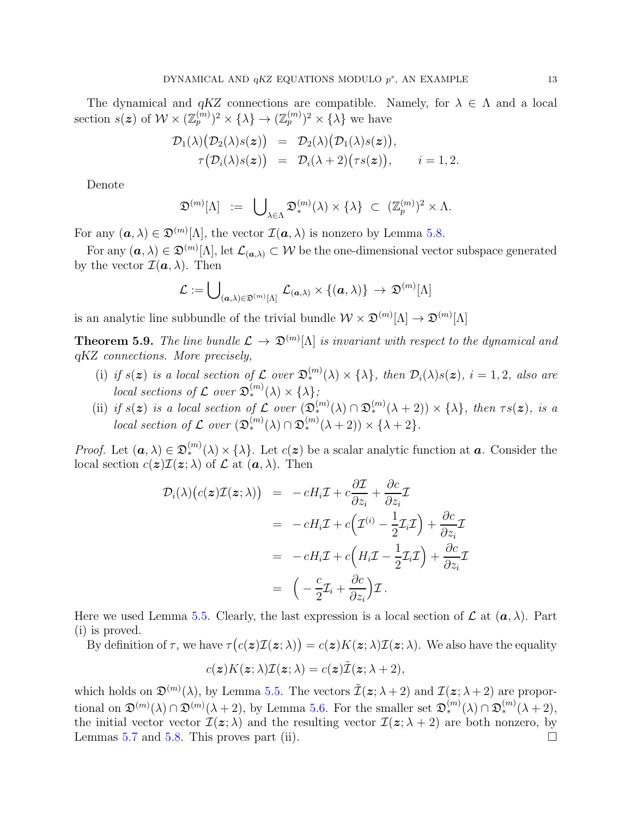The dynamical and  $qKZ$  connections are compatible. Namely, for  $\lambda \in \Lambda$  and a local section  $s(z)$  of  $W \times (\mathbb{Z}_p^{(m)})^2 \times {\{\lambda\}} \to (\mathbb{Z}_p^{(m)})^2 \times {\{\lambda\}}$  we have

$$
\mathcal{D}_1(\lambda) \big( \mathcal{D}_2(\lambda) s(\boldsymbol{z}) \big) = \mathcal{D}_2(\lambda) \big( \mathcal{D}_1(\lambda) s(\boldsymbol{z}) \big), \n\tau \big( \mathcal{D}_i(\lambda) s(\boldsymbol{z}) \big) = \mathcal{D}_i(\lambda + 2) \big( \tau s(\boldsymbol{z}) \big), \qquad i = 1, 2.
$$

Denote

$$
\mathfrak{D}^{(m)}[\Lambda] \ := \ \bigcup\nolimits_{\lambda \in \Lambda} \mathfrak{D}^{(m)}_*(\lambda) \times \{\lambda\} \ \subset \ (\mathbb{Z}_p^{(m)})^2 \times \Lambda.
$$

For any  $(\boldsymbol{a}, \lambda) \in \mathfrak{D}^{(m)}[\Lambda]$ , the vector  $\mathcal{I}(\boldsymbol{a}, \lambda)$  is nonzero by Lemma [5.8.](#page-11-3)

For any  $(a, \lambda) \in \mathfrak{D}^{(m)}[\Lambda]$ , let  $\mathcal{L}_{(a,\lambda)} \subset \mathcal{W}$  be the one-dimensional vector subspace generated by the vector  $\mathcal{I}(\boldsymbol{a},\lambda)$ . Then

$$
\mathcal{L}:=\bigcup\nolimits_{(\bm{a},\lambda)\in\mathfrak{D}^{(m)}[\Lambda]}\mathcal{L}_{(\bm{a},\lambda)}\times\{(\bm{a},\lambda)\}\,\to\,\mathfrak{D}^{(m)}[\Lambda]
$$

is an analytic line subbundle of the trivial bundle  $\mathcal{W} \times \mathfrak{D}^{(m)}[\Lambda] \to \mathfrak{D}^{(m)}[\Lambda]$ 

<span id="page-12-0"></span>**Theorem 5.9.** The line bundle  $\mathcal{L} \to \mathfrak{D}^{(m)}[\Lambda]$  is invariant with respect to the dynamical and qKZ connections. More precisely,

- (i) if  $s(z)$  is a local section of  $\mathcal L$  over  $\mathfrak D_*^{(m)}(\lambda)\times\{\lambda\}$ , then  $\mathcal D_i(\lambda)s(z)$ ,  $i=1,2$ , also are local sections of  $\mathcal L$  over  $\mathfrak D_{*}^{(m)}(\lambda)\times{\{\lambda\}}$ ;
- (ii) if  $s(z)$  is a local section of L over  $(\mathfrak{D}_{*}^{(m)}(\lambda) \cap \mathfrak{D}_{*}^{(m)}(\lambda+2)) \times {\lambda}$ , then  $\tau s(z)$ , is a local section of  $\mathcal L$  over  $(\mathfrak D_*^{(m)}(\lambda) \cap \mathfrak D_*^{(m)}(\lambda+2)) \times {\lambda+2}.$

*Proof.* Let  $(a, \lambda) \in \mathfrak{D}_{*}^{(m)}(\lambda) \times \{\lambda\}$ . Let  $c(z)$  be a scalar analytic function at **a**. Consider the local section  $c(z) \mathcal{I}(z; \lambda)$  of  $\mathcal L$  at  $(a, \lambda)$ . Then

$$
\mathcal{D}_{i}(\lambda)(c(\boldsymbol{z})\mathcal{I}(\boldsymbol{z};\lambda)) = -cH_{i}\mathcal{I} + c\frac{\partial\mathcal{I}}{\partial z_{i}} + \frac{\partial c}{\partial z_{i}}\mathcal{I}
$$
\n
$$
= -cH_{i}\mathcal{I} + c(\mathcal{I}^{(i)} - \frac{1}{2}\mathcal{I}_{i}\mathcal{I}) + \frac{\partial c}{\partial z_{i}}\mathcal{I}
$$
\n
$$
= -cH_{i}\mathcal{I} + c\left(H_{i}\mathcal{I} - \frac{1}{2}\mathcal{I}_{i}\mathcal{I}\right) + \frac{\partial c}{\partial z_{i}}\mathcal{I}
$$
\n
$$
= \left(-\frac{c}{2}\mathcal{I}_{i} + \frac{\partial c}{\partial z_{i}}\right)\mathcal{I}.
$$

Here we used Lemma [5.5.](#page-10-4) Clearly, the last expression is a local section of  $\mathcal L$  at  $(a, \lambda)$ . Part (i) is proved.

By definition of  $\tau$ , we have  $\tau(c(\boldsymbol{z})\mathcal{I}(\boldsymbol{z};\lambda)) = c(\boldsymbol{z})K(\boldsymbol{z};\lambda)\mathcal{I}(\boldsymbol{z};\lambda)$ . We also have the equality

$$
c(\boldsymbol{z})K(\boldsymbol{z};\lambda)\mathcal{I}(\boldsymbol{z};\lambda)=c(\boldsymbol{z})\tilde{\mathcal{I}}(\boldsymbol{z};\lambda+2),
$$

which holds on  $\mathfrak{D}^{(m)}(\lambda)$ , by Lemma [5.5.](#page-10-4) The vectors  $\tilde{\mathcal{I}}(\boldsymbol{z}; \lambda + 2)$  and  $\mathcal{I}(\boldsymbol{z}; \lambda + 2)$  are proportional on  $\mathfrak{D}^{(m)}(\lambda) \cap \mathfrak{D}^{(m)}(\lambda+2)$ , by Lemma [5.6.](#page-10-5) For the smaller set  $\mathfrak{D}_{*}^{(m)}(\lambda) \cap \mathfrak{D}_{*}^{(m)}(\lambda+2)$ , the initial vector vector  $\mathcal{I}(\boldsymbol{z}; \lambda)$  and the resulting vector  $\mathcal{I}(\boldsymbol{z}; \lambda + 2)$  are both nonzero, by Lemmas [5.7](#page-11-1) and [5.8.](#page-11-3) This proves part (ii).  $\square$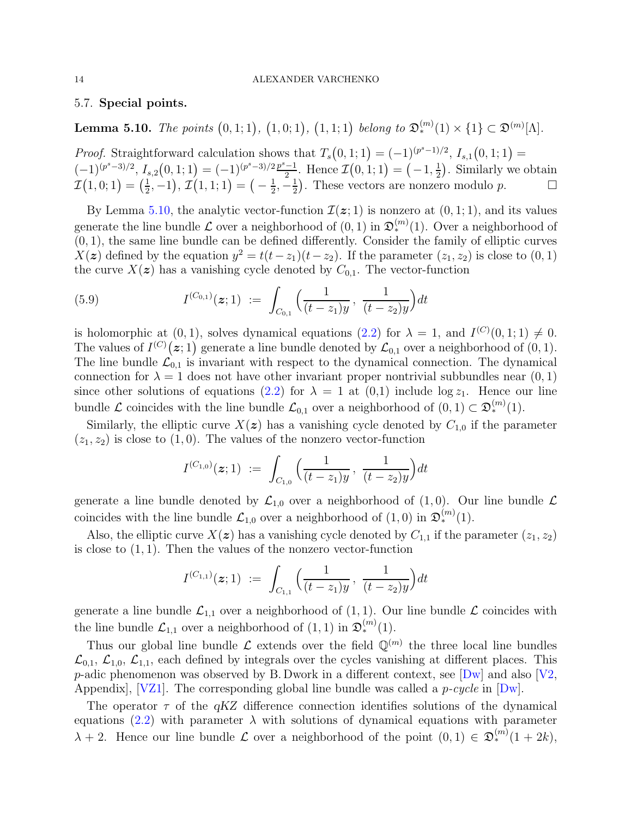# <span id="page-13-0"></span>5.7. Special points.

<span id="page-13-1"></span>**Lemma 5.10.** The points  $(0,1;1)$ ,  $(1,0;1)$ ,  $(1,1;1)$  belong to  $\mathfrak{D}_{*}^{(m)}(1) \times \{1\} \subset \mathfrak{D}^{(m)}[\Lambda]$ .

*Proof.* Straightforward calculation shows that  $T_s(0,1;1) = (-1)^{(p^s-1)/2}$ ,  $I_{s,1}(0,1;1) =$  $(-1)^{(p^s-3)/2}$ ,  $I_{s,2}(0,1;1) = (-1)^{(p^s-3)/2} \frac{p^s-1}{2}$  $\frac{(-1)}{2}$ . Hence  $\mathcal{I}(0,1;1) = \left(-1, \frac{1}{2}\right)$  $(\frac{1}{2})$ . Similarly we obtain  $\mathcal{I}(1,0;1) = \left(\frac{1}{2}\right)$  $(\frac{1}{2},-1), \mathcal{I}(1,1;1) = (-\frac{1}{2})$  $\frac{1}{2}, -\frac{1}{2}$  $\frac{1}{2}$ ). These vectors are nonzero modulo p.  $\square$ 

By Lemma [5.10,](#page-13-1) the analytic vector-function  $\mathcal{I}(z; 1)$  is nonzero at  $(0, 1; 1)$ , and its values generate the line bundle  $\mathcal L$  over a neighborhood of  $(0,1)$  in  $\mathfrak D_*^{(m)}(1)$ . Over a neighborhood of  $(0, 1)$ , the same line bundle can be defined differently. Consider the family of elliptic curves  $X(z)$  defined by the equation  $y^2 = t(t-z_1)(t-z_2)$ . If the parameter  $(z_1, z_2)$  is close to  $(0, 1)$ the curve  $X(z)$  has a vanishing cycle denoted by  $C_{0,1}$ . The vector-function

(5.9) 
$$
I^{(C_{0,1})}(z;1) := \int_{C_{0,1}} \left( \frac{1}{(t-z_1)y}, \frac{1}{(t-z_2)y} \right) dt
$$

is holomorphic at  $(0, 1)$ , solves dynamical equations  $(2.2)$  for  $\lambda = 1$ , and  $I^{(C)}(0, 1; 1) \neq 0$ . The values of  $I^{(C)}(z;1)$  generate a line bundle denoted by  $\mathcal{L}_{0,1}$  over a neighborhood of  $(0,1)$ . The line bundle  $\mathcal{L}_{0,1}$  is invariant with respect to the dynamical connection. The dynamical connection for  $\lambda = 1$  does not have other invariant proper nontrivial subbundles near  $(0, 1)$ since other solutions of equations [\(2.2\)](#page-3-4) for  $\lambda = 1$  at (0,1) include log  $z_1$ . Hence our line bundle  $\mathcal L$  coincides with the line bundle  $\mathcal L_{0,1}$  over a neighborhood of  $(0,1) \subset \mathfrak D_{*}^{(m)}(1)$ .

Similarly, the elliptic curve  $X(z)$  has a vanishing cycle denoted by  $C_{1,0}$  if the parameter  $(z_1, z_2)$  is close to  $(1, 0)$ . The values of the nonzero vector-function

$$
I^{(C_{1,0})}(\boldsymbol{z};1) \ := \ \int_{C_{1,0}} \Big(\frac{1}{(t-z_1)y}\,,\, \frac{1}{(t-z_2)y}\Big) dt
$$

generate a line bundle denoted by  $\mathcal{L}_{1,0}$  over a neighborhood of  $(1,0)$ . Our line bundle  $\mathcal{L}_{1,0}$ coincides with the line bundle  $\mathcal{L}_{1,0}$  over a neighborhood of  $(1,0)$  in  $\mathfrak{D}_{*}^{(m)}(1)$ .

Also, the elliptic curve  $X(z)$  has a vanishing cycle denoted by  $C_{1,1}$  if the parameter  $(z_1, z_2)$ is close to  $(1, 1)$ . Then the values of the nonzero vector-function

$$
I^{(C_{1,1})}(z;1) := \int_{C_{1,1}} \Big(\frac{1}{(t-z_1)y}, \frac{1}{(t-z_2)y}\Big) dt
$$

generate a line bundle  $\mathcal{L}_{1,1}$  over a neighborhood of  $(1, 1)$ . Our line bundle  $\mathcal L$  coincides with the line bundle  $\mathcal{L}_{1,1}$  over a neighborhood of  $(1,1)$  in  $\mathfrak{D}_{*}^{(m)}(1)$ .

Thus our global line bundle  $\mathcal L$  extends over the field  $\mathbb Q^{(m)}$  the three local line bundles  $\mathcal{L}_{0,1}$ ,  $\mathcal{L}_{1,0}$ ,  $\mathcal{L}_{1,1}$ , each defined by integrals over the cycles vanishing at different places. This p-adic phenomenon was observed by B. Dwork in a different context, see  $[Dw]$  and also  $[V2,$ Appendix,  $[VZ1]$ . The corresponding global line bundle was called a *p-cycle* in  $[Dw]$ .

The operator  $\tau$  of the  $qKZ$  difference connection identifies solutions of the dynamical equations [\(2.2\)](#page-3-4) with parameter  $\lambda$  with solutions of dynamical equations with parameter  $\lambda + 2$ . Hence our line bundle  $\mathcal L$  over a neighborhood of the point  $(0,1) \in \mathfrak D_{*}^{(m)}(1+2k)$ ,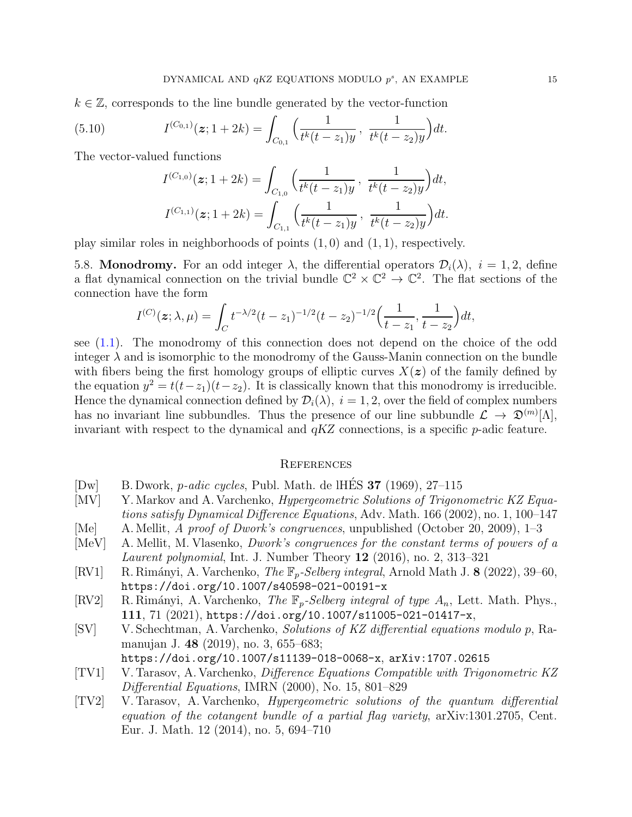$k \in \mathbb{Z}$ , corresponds to the line bundle generated by the vector-function

(5.10) 
$$
I^{(C_{0,1})}(z; 1+2k) = \int_{C_{0,1}} \left( \frac{1}{t^k(t-z_1)y}, \frac{1}{t^k(t-z_2)y} \right) dt.
$$

The vector-valued functions

$$
I^{(C_{1,0})}(\boldsymbol{z}; 1+2k) = \int_{C_{1,0}} \left( \frac{1}{t^k(t-z_1)y}, \frac{1}{t^k(t-z_2)y} \right) dt,
$$
  

$$
I^{(C_{1,1})}(\boldsymbol{z}; 1+2k) = \int_{C_{1,1}} \left( \frac{1}{t^k(t-z_1)y}, \frac{1}{t^k(t-z_2)y} \right) dt.
$$

<span id="page-14-0"></span>play similar roles in neighborhoods of points  $(1, 0)$  and  $(1, 1)$ , respectively.

5.8. **Monodromy.** For an odd integer  $\lambda$ , the differential operators  $\mathcal{D}_i(\lambda)$ ,  $i = 1, 2$ , define a flat dynamical connection on the trivial bundle  $\mathbb{C}^2 \times \mathbb{C}^2 \to \mathbb{C}^2$ . The flat sections of the connection have the form

$$
I^{(C)}(z; \lambda, \mu) = \int_C t^{-\lambda/2} (t-z_1)^{-1/2} (t-z_2)^{-1/2} \Big( \frac{1}{t-z_1}, \frac{1}{t-z_2} \Big) dt,
$$

see [\(1.1\)](#page-1-2). The monodromy of this connection does not depend on the choice of the odd integer  $\lambda$  and is isomorphic to the monodromy of the Gauss-Manin connection on the bundle with fibers being the first homology groups of elliptic curves  $X(z)$  of the family defined by the equation  $y^2 = t(t-z_1)(t-z_2)$ . It is classically known that this monodromy is irreducible. Hence the dynamical connection defined by  $\mathcal{D}_i(\lambda)$ ,  $i = 1, 2$ , over the field of complex numbers has no invariant line subbundles. Thus the presence of our line subbundle  $\mathcal{L} \to \mathfrak{D}^{(m)}[\Lambda],$ invariant with respect to the dynamical and  $qKZ$  connections, is a specific  $p$ -adic feature.

### <span id="page-14-1"></span>**REFERENCES**

- <span id="page-14-8"></span>[Dw] B. Dwork, *p-adic cycles*, Publ. Math. de lHES **37** (1969), 27–115
- <span id="page-14-3"></span>[MV] Y. Markov and A. Varchenko, *Hypergeometric Solutions of Trigonometric KZ Equa*tions satisfy Dynamical Difference Equations, Adv. Math. 166 (2002), no. 1, 100–147 [Me] A. Mellit, A proof of Dwork's congruences, unpublished (October 20, 2009), 1–3
- <span id="page-14-10"></span><span id="page-14-9"></span>[MeV] A. Mellit, M. Vlasenko, Dwork's congruences for the constant terms of powers of a
- Laurent polynomial, Int. J. Number Theory 12 (2016), no. 2, 313-321
- <span id="page-14-6"></span>[RV1] R. Rimányi, A. Varchenko, *The*  $\mathbb{F}_p$ -*Selberg integral*, Arnold Math J. **8** (2022), 39–60, https://doi.org/10.1007/s40598-021-00191-x
- <span id="page-14-7"></span>[RV2] R. Rimányi, A. Varchenko, The  $\mathbb{F}_p$ -Selberg integral of type  $A_n$ , Lett. Math. Phys., 111, 71 (2021), https://doi.org/10.1007/s11005-021-01417-x,
- <span id="page-14-5"></span>[SV] V. Schechtman, A. Varchenko, Solutions of KZ differential equations modulo p, Ramanujan J. 48 (2019), no. 3, 655–683;

https://doi.org/10.1007/s11139-018-0068-x, arXiv:1707.02615

- <span id="page-14-2"></span>[TV1] V. Tarasov, A. Varchenko, Difference Equations Compatible with Trigonometric KZ Differential Equations, IMRN (2000), No. 15, 801–829
- <span id="page-14-4"></span>[TV2] V. Tarasov, A. Varchenko, Hypergeometric solutions of the quantum differential equation of the cotangent bundle of a partial flag variety, arXiv:1301.2705, Cent. Eur. J. Math. 12 (2014), no. 5, 694–710